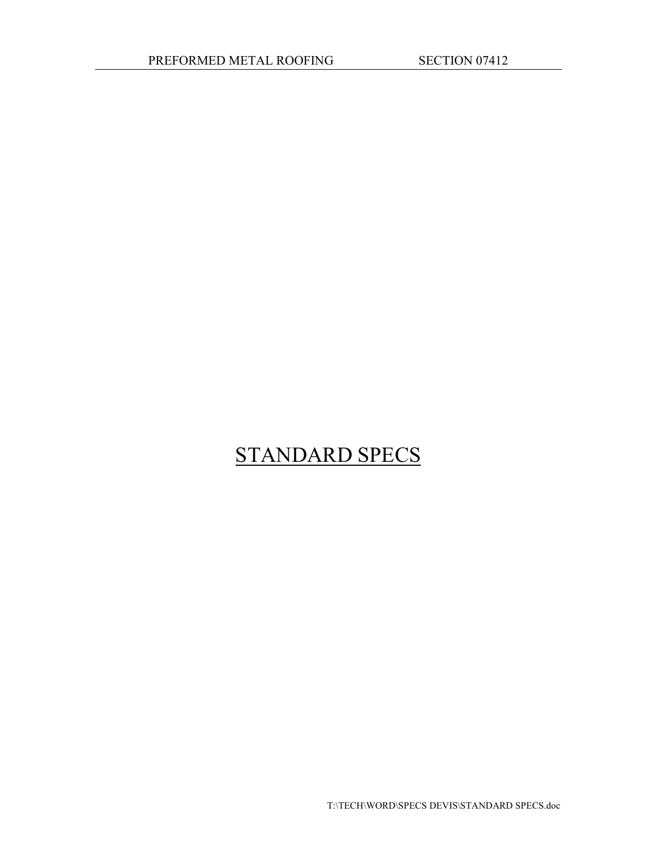# STANDARD SPECS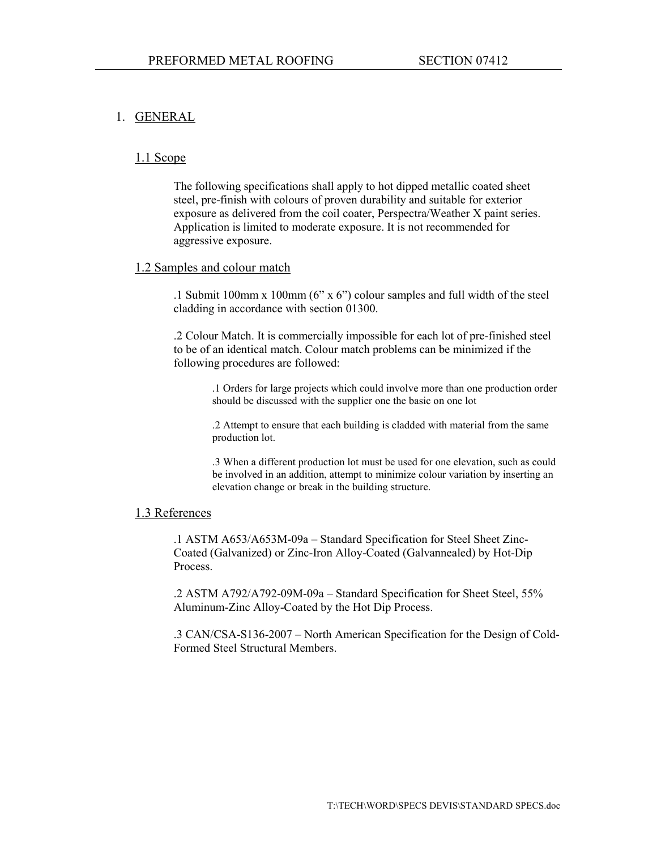#### 1. GENERAL

#### 1.1 Scope

The following specifications shall apply to hot dipped metallic coated sheet steel, pre-finish with colours of proven durability and suitable for exterior exposure as delivered from the coil coater, Perspectra/Weather X paint series. Application is limited to moderate exposure. It is not recommended for aggressive exposure.

#### 1.2 Samples and colour match

.1 Submit 100mm x 100mm (6" x 6") colour samples and full width of the steel cladding in accordance with section 01300.

.2 Colour Match. It is commercially impossible for each lot of pre-finished steel to be of an identical match. Colour match problems can be minimized if the following procedures are followed:

> .1 Orders for large projects which could involve more than one production order should be discussed with the supplier one the basic on one lot

.2 Attempt to ensure that each building is cladded with material from the same production lot.

.3 When a different production lot must be used for one elevation, such as could be involved in an addition, attempt to minimize colour variation by inserting an elevation change or break in the building structure.

#### 1.3 References

.1 ASTM A653/A653M-09a – Standard Specification for Steel Sheet Zinc-Coated (Galvanized) or Zinc-Iron Alloy-Coated (Galvannealed) by Hot-Dip Process.

.2 ASTM A792/A792-09M-09a – Standard Specification for Sheet Steel, 55% Aluminum-Zinc Alloy-Coated by the Hot Dip Process.

.3 CAN/CSA-S136-2007 – North American Specification for the Design of Cold-Formed Steel Structural Members.